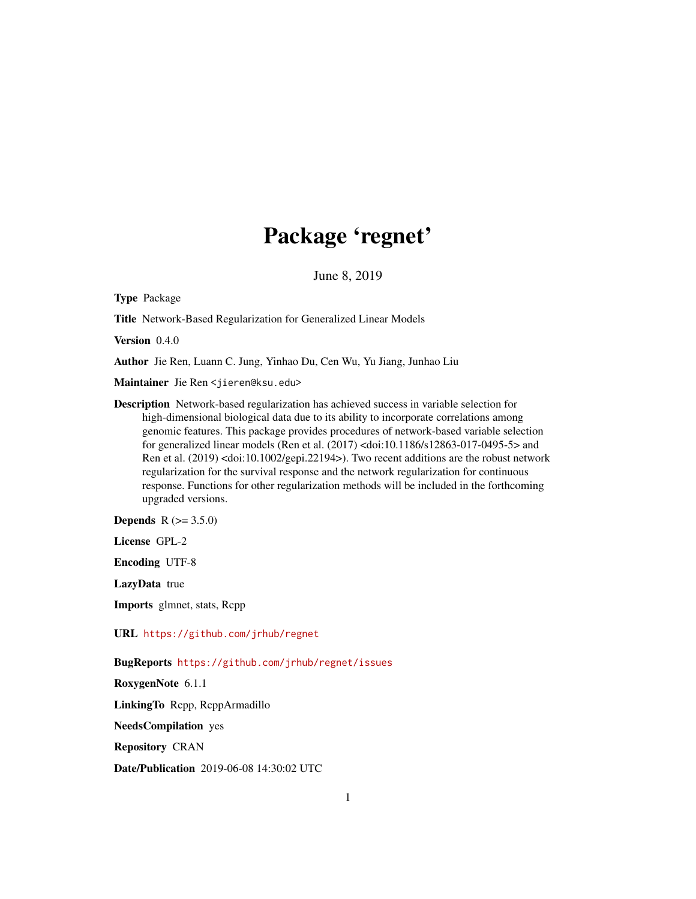## Package 'regnet'

June 8, 2019

Type Package

Title Network-Based Regularization for Generalized Linear Models

Version 0.4.0

Author Jie Ren, Luann C. Jung, Yinhao Du, Cen Wu, Yu Jiang, Junhao Liu

Maintainer Jie Ren <jieren@ksu.edu>

Description Network-based regularization has achieved success in variable selection for high-dimensional biological data due to its ability to incorporate correlations among genomic features. This package provides procedures of network-based variable selection for generalized linear models (Ren et al. (2017) <doi:10.1186/s12863-017-0495-5> and Ren et al. (2019) <doi:10.1002/gepi.22194>). Two recent additions are the robust network regularization for the survival response and the network regularization for continuous response. Functions for other regularization methods will be included in the forthcoming upgraded versions.

**Depends** R  $(>= 3.5.0)$ 

License GPL-2

Encoding UTF-8

LazyData true

Imports glmnet, stats, Rcpp

URL <https://github.com/jrhub/regnet>

BugReports <https://github.com/jrhub/regnet/issues>

RoxygenNote 6.1.1

LinkingTo Rcpp, RcppArmadillo

NeedsCompilation yes

Repository CRAN

Date/Publication 2019-06-08 14:30:02 UTC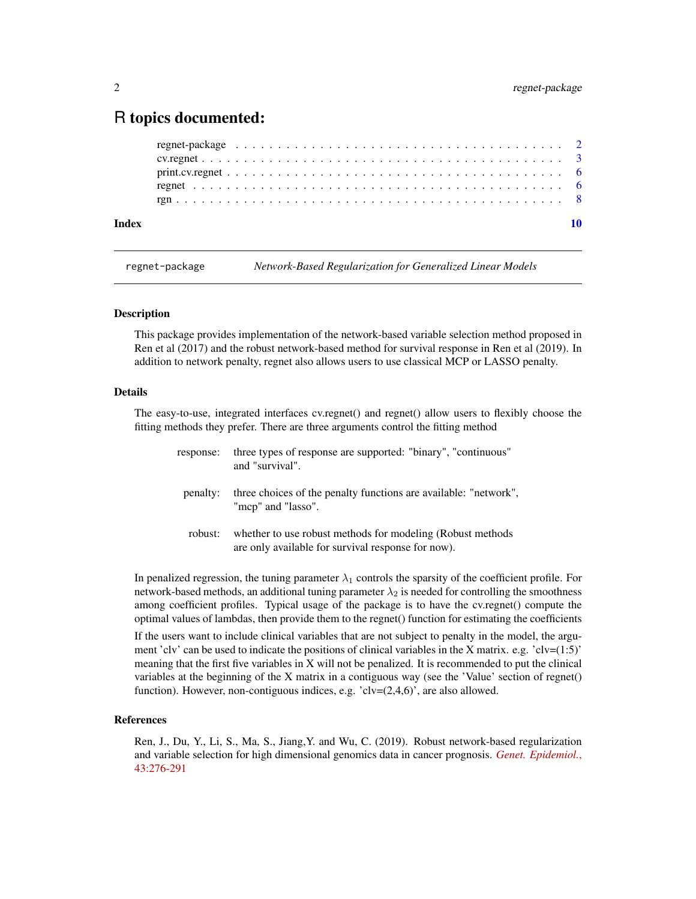### <span id="page-1-0"></span>R topics documented:

| Index |  |  |  |  |  |  |  |  |  |  |  |  |  |  |  |  |  |  |
|-------|--|--|--|--|--|--|--|--|--|--|--|--|--|--|--|--|--|--|
|       |  |  |  |  |  |  |  |  |  |  |  |  |  |  |  |  |  |  |
|       |  |  |  |  |  |  |  |  |  |  |  |  |  |  |  |  |  |  |
|       |  |  |  |  |  |  |  |  |  |  |  |  |  |  |  |  |  |  |
|       |  |  |  |  |  |  |  |  |  |  |  |  |  |  |  |  |  |  |
|       |  |  |  |  |  |  |  |  |  |  |  |  |  |  |  |  |  |  |

regnet-package *Network-Based Regularization for Generalized Linear Models*

#### Description

This package provides implementation of the network-based variable selection method proposed in Ren et al (2017) and the robust network-based method for survival response in Ren et al (2019). In addition to network penalty, regnet also allows users to use classical MCP or LASSO penalty.

#### Details

The easy-to-use, integrated interfaces cv.regnet() and regnet() allow users to flexibly choose the fitting methods they prefer. There are three arguments control the fitting method

| response: | three types of response are supported: "binary", "continuous"<br>and "survival".                                  |
|-----------|-------------------------------------------------------------------------------------------------------------------|
| penalty:  | three choices of the penalty functions are available: "network",<br>"mcp" and "lasso".                            |
| robust:   | whether to use robust methods for modeling (Robust methods)<br>are only available for survival response for now). |

In penalized regression, the tuning parameter  $\lambda_1$  controls the sparsity of the coefficient profile. For network-based methods, an additional tuning parameter  $\lambda_2$  is needed for controlling the smoothness among coefficient profiles. Typical usage of the package is to have the cv.regnet() compute the optimal values of lambdas, then provide them to the regnet() function for estimating the coefficients

If the users want to include clinical variables that are not subject to penalty in the model, the argument 'clv' can be used to indicate the positions of clinical variables in the X matrix. e.g. 'clv= $(1:5)'$ meaning that the first five variables in X will not be penalized. It is recommended to put the clinical variables at the beginning of the X matrix in a contiguous way (see the 'Value' section of regnet() function). However, non-contiguous indices, e.g.  $\text{clv} = (2, 4, 6)$ , are also allowed.

#### References

Ren, J., Du, Y., Li, S., Ma, S., Jiang,Y. and Wu, C. (2019). Robust network-based regularization and variable selection for high dimensional genomics data in cancer prognosis. *[Genet. Epidemiol.](https://doi.org/10.1002/gepi.22194)*, [43:276-291](https://doi.org/10.1002/gepi.22194)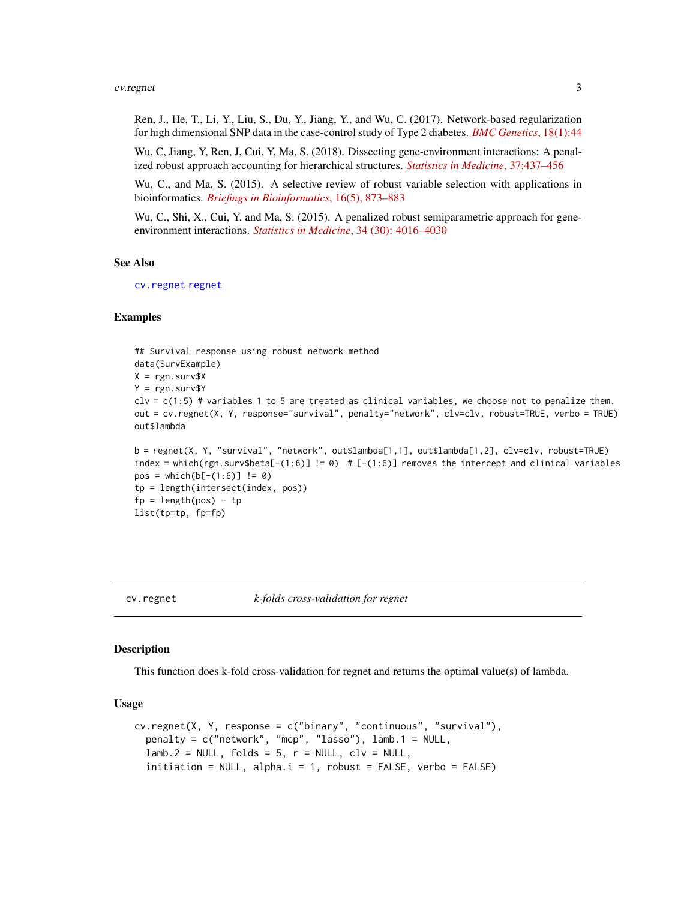#### <span id="page-2-0"></span>cv.regnet 3

Ren, J., He, T., Li, Y., Liu, S., Du, Y., Jiang, Y., and Wu, C. (2017). Network-based regularization for high dimensional SNP data in the case-control study of Type 2 diabetes. *[BMC Genetics](https://doi.org/10.1186/s12863-017-0495-5)*, 18(1):44

Wu, C, Jiang, Y, Ren, J, Cui, Y, Ma, S. (2018). Dissecting gene-environment interactions: A penalized robust approach accounting for hierarchical structures. *[Statistics in Medicine](https://doi.org/10.1002/sim.7518)*, 37:437–456

Wu, C., and Ma, S. (2015). A selective review of robust variable selection with applications in bioinformatics. *[Briefings in Bioinformatics](http://doi.org/10.1093/bib/bbu046)*, 16(5), 873–883

Wu, C., Shi, X., Cui, Y. and Ma, S. (2015). A penalized robust semiparametric approach for geneenvironment interactions. *Statistics in Medicine*[, 34 \(30\): 4016–4030](https://doi.org/10.1002/sim.6609)

#### See Also

[cv.regnet](#page-2-1) [regnet](#page-5-1)

#### Examples

```
## Survival response using robust network method
data(SurvExample)
X = \text{rgn.surv$X}Y = \text{rgn.surv$Y}\text{clv} = \text{c}(1:5) # variables 1 to 5 are treated as clinical variables, we choose not to penalize them.
out = cv.regnet(X, Y, response="survival", penalty="network", clv=clv, robust=TRUE, verbo = TRUE)
out$lambda
```

```
b = regnet(X, Y, "survival", "network", out$lambda[1,1], out$lambda[1,2], clv=clv, robust=TRUE)
index = which(rgn.surv$beta[-(1:6)] != 0) # [-(1:6)] removes the intercept and clinical variables
pos = which(b[-(1:6)] != 0)tp = length(intersect(index, pos))
fp = length(pos) - tplist(tp=tp, fp=fp)
```
<span id="page-2-1"></span>

#### cv.regnet *k-folds cross-validation for regnet*

#### Description

This function does k-fold cross-validation for regnet and returns the optimal value(s) of lambda.

#### Usage

```
cv.regnet(X, Y, response = c("binary", "continuous", "survival"),
  penalty = c("network", "mcp", "lasso"), lamb.1 = NULL,
  lamb.2 = NULL, folds = 5, r = NULL, clv = NULL,
  initiation = NULL, alpha.i = 1, robust = FALSE, verbo = FALSE)
```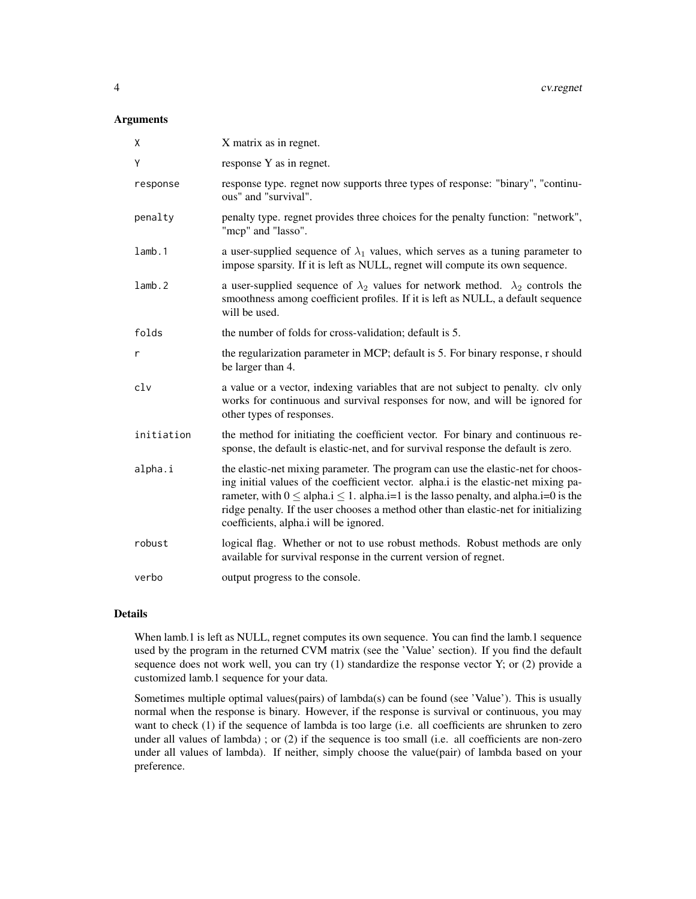#### Arguments

| χ          | X matrix as in regnet.                                                                                                                                                                                                                                                                                                                                                                                     |
|------------|------------------------------------------------------------------------------------------------------------------------------------------------------------------------------------------------------------------------------------------------------------------------------------------------------------------------------------------------------------------------------------------------------------|
| Υ          | response Y as in regnet.                                                                                                                                                                                                                                                                                                                                                                                   |
| response   | response type. regnet now supports three types of response: "binary", "continu-<br>ous" and "survival".                                                                                                                                                                                                                                                                                                    |
| penalty    | penalty type. regnet provides three choices for the penalty function: "network",<br>"mcp" and "lasso".                                                                                                                                                                                                                                                                                                     |
| lamb.1     | a user-supplied sequence of $\lambda_1$ values, which serves as a tuning parameter to<br>impose sparsity. If it is left as NULL, regnet will compute its own sequence.                                                                                                                                                                                                                                     |
| lamb.2     | a user-supplied sequence of $\lambda_2$ values for network method. $\lambda_2$ controls the<br>smoothness among coefficient profiles. If it is left as NULL, a default sequence<br>will be used.                                                                                                                                                                                                           |
| folds      | the number of folds for cross-validation; default is 5.                                                                                                                                                                                                                                                                                                                                                    |
| r          | the regularization parameter in MCP; default is 5. For binary response, r should<br>be larger than 4.                                                                                                                                                                                                                                                                                                      |
| clv        | a value or a vector, indexing variables that are not subject to penalty. clv only<br>works for continuous and survival responses for now, and will be ignored for<br>other types of responses.                                                                                                                                                                                                             |
| initiation | the method for initiating the coefficient vector. For binary and continuous re-<br>sponse, the default is elastic-net, and for survival response the default is zero.                                                                                                                                                                                                                                      |
| alpha.i    | the elastic-net mixing parameter. The program can use the elastic-net for choos-<br>ing initial values of the coefficient vector. alpha.i is the elastic-net mixing pa-<br>rameter, with $0 \leq$ alpha.i $\leq 1$ . alpha.i=1 is the lasso penalty, and alpha.i=0 is the<br>ridge penalty. If the user chooses a method other than elastic-net for initializing<br>coefficients, alpha.i will be ignored. |
| robust     | logical flag. Whether or not to use robust methods. Robust methods are only<br>available for survival response in the current version of regnet.                                                                                                                                                                                                                                                           |
| verbo      | output progress to the console.                                                                                                                                                                                                                                                                                                                                                                            |

#### Details

When lamb.1 is left as NULL, regnet computes its own sequence. You can find the lamb.1 sequence used by the program in the returned CVM matrix (see the 'Value' section). If you find the default sequence does not work well, you can try (1) standardize the response vector Y; or (2) provide a customized lamb.1 sequence for your data.

Sometimes multiple optimal values(pairs) of lambda(s) can be found (see 'Value'). This is usually normal when the response is binary. However, if the response is survival or continuous, you may want to check (1) if the sequence of lambda is too large (i.e. all coefficients are shrunken to zero under all values of lambda) ; or (2) if the sequence is too small (i.e. all coefficients are non-zero under all values of lambda). If neither, simply choose the value(pair) of lambda based on your preference.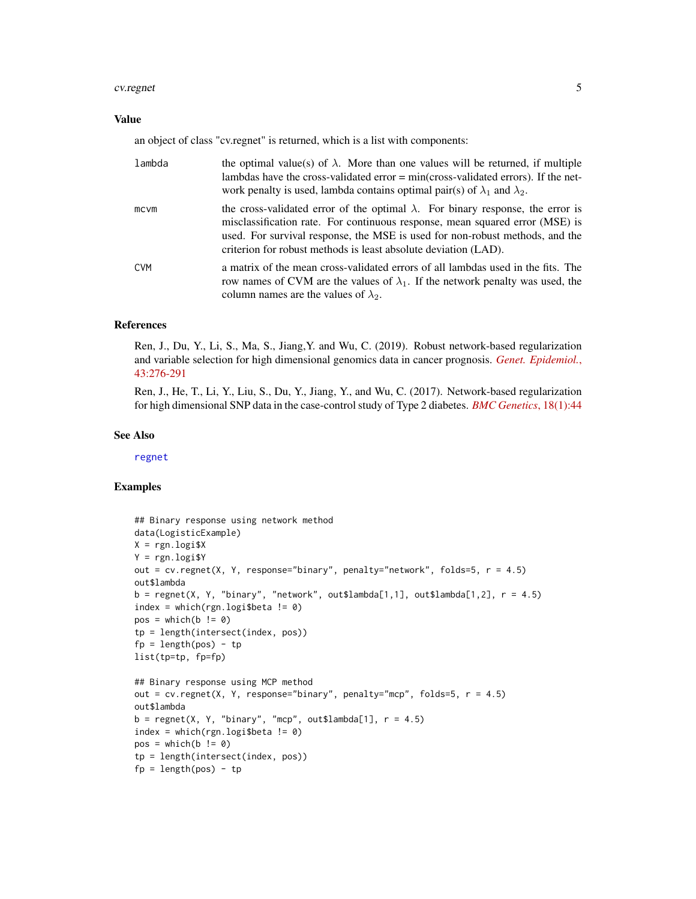#### <span id="page-4-0"></span>cv.regnet 5

#### Value

an object of class "cv.regnet" is returned, which is a list with components:

| lambda     | the optimal value(s) of $\lambda$ . More than one values will be returned, if multiple<br>lambdas have the cross-validated error $= min(cross-validated errors)$ . If the net-<br>work penalty is used, lambda contains optimal pair(s) of $\lambda_1$ and $\lambda_2$ .                                                  |
|------------|---------------------------------------------------------------------------------------------------------------------------------------------------------------------------------------------------------------------------------------------------------------------------------------------------------------------------|
| mcvm       | the cross-validated error of the optimal $\lambda$ . For binary response, the error is<br>misclassification rate. For continuous response, mean squared error (MSE) is<br>used. For survival response, the MSE is used for non-robust methods, and the<br>criterion for robust methods is least absolute deviation (LAD). |
| <b>CVM</b> | a matrix of the mean cross-validated errors of all lambdas used in the fits. The<br>row names of CVM are the values of $\lambda_1$ . If the network penalty was used, the<br>column names are the values of $\lambda_2$ .                                                                                                 |

#### References

Ren, J., Du, Y., Li, S., Ma, S., Jiang,Y. and Wu, C. (2019). Robust network-based regularization and variable selection for high dimensional genomics data in cancer prognosis. *[Genet. Epidemiol.](https://doi.org/10.1002/gepi.22194)*, [43:276-291](https://doi.org/10.1002/gepi.22194)

Ren, J., He, T., Li, Y., Liu, S., Du, Y., Jiang, Y., and Wu, C. (2017). Network-based regularization for high dimensional SNP data in the case-control study of Type 2 diabetes. *[BMC Genetics](https://doi.org/10.1186/s12863-017-0495-5)*, 18(1):44

#### See Also

[regnet](#page-5-1)

#### Examples

```
## Binary response using network method
data(LogisticExample)
X = \text{rgn.logi$} XY = rgn.logi$Y
out = cv.regnet(X, Y, response="binary", penalty="network", folds=5, r = 4.5)
out$lambda
b = \text{regnet}(X, Y, "binary", "network", out$lambda[1,1], out$lambda[1,2], r = 4.5)index = which (rgn.logi$beta != 0)pos = which(b != 0)tp = length(intersect(index, pos))
fp = length(pos) - tplist(tp=tp, fp=fp)
## Binary response using MCP method
out = cv.read(x, Y, response='binary", penalty="mcp", folds=5, r = 4.5)out$lambda
b = \text{regnet}(X, Y, "binary", "mcp", out$lambda[1], r = 4.5)index = which(rgn.logi$beta != 0)pos = which(b != 0)tp = length(intersect(index, pos))
fp = length(pos) - tp
```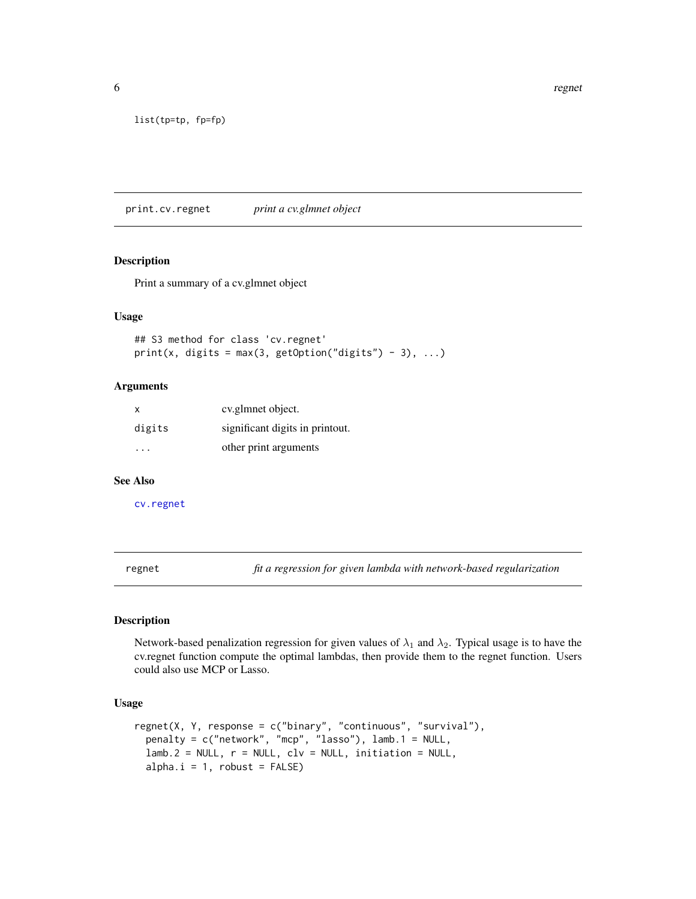<span id="page-5-0"></span>6 regnet by the contract of the contract of the contract of the contract of the contract of the contract of the contract of the contract of the contract of the contract of the contract of the contract of the contract of th

```
list(tp=tp, fp=fp)
```
print.cv.regnet *print a cv.glmnet object*

#### Description

Print a summary of a cv.glmnet object

#### Usage

```
## S3 method for class 'cv.regnet'
print(x, \text{ digits} = max(3, \text{ getOption("digits") - 3), ...)
```
#### Arguments

| X      | cv.glmnet object.               |
|--------|---------------------------------|
| digits | significant digits in printout. |
|        | other print arguments           |

#### See Also

[cv.regnet](#page-2-1)

<span id="page-5-1"></span>regnet *fit a regression for given lambda with network-based regularization*

#### Description

Network-based penalization regression for given values of  $\lambda_1$  and  $\lambda_2$ . Typical usage is to have the cv.regnet function compute the optimal lambdas, then provide them to the regnet function. Users could also use MCP or Lasso.

#### Usage

```
regnet(X, Y, response = c("binary", "continuous", "survival"),
 penalty = c("network", "mcp", "lasso"), lamb.1 = NULL,
 lamb.2 = NULL, r = NULL, clv = NULL, initiation = NULL,alpha.i = 1, robust = FALSE)
```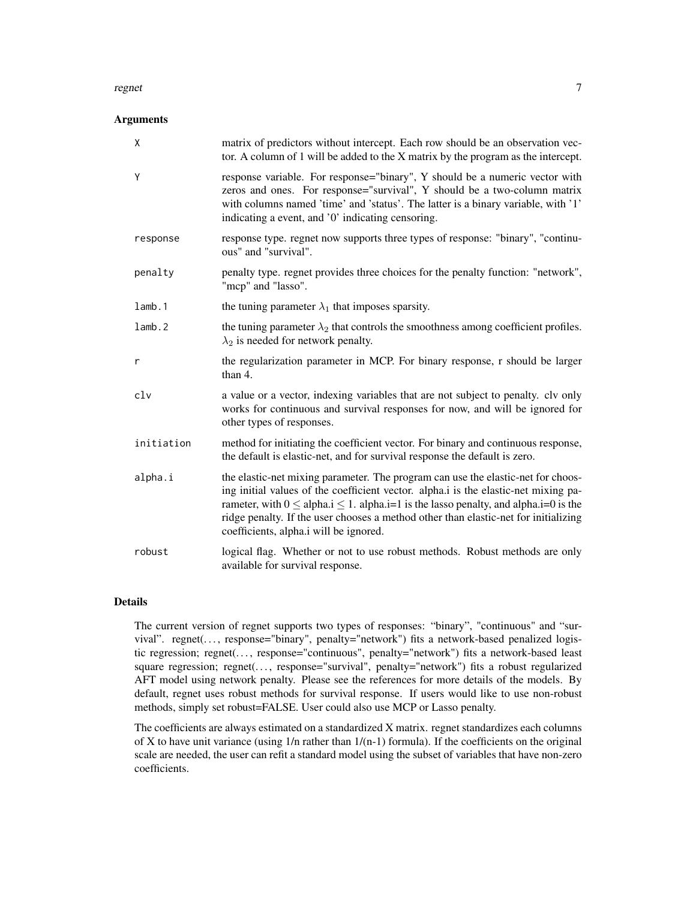#### regnet that the contract of the contract of the contract of the contract of the contract of the contract of the contract of the contract of the contract of the contract of the contract of the contract of the contract of th

#### **Arguments**

| $\mathsf{X}$ | matrix of predictors without intercept. Each row should be an observation vec-<br>tor. A column of 1 will be added to the $X$ matrix by the program as the intercept.                                                                                                                                                                                                                                             |
|--------------|-------------------------------------------------------------------------------------------------------------------------------------------------------------------------------------------------------------------------------------------------------------------------------------------------------------------------------------------------------------------------------------------------------------------|
| Y            | response variable. For response="binary", Y should be a numeric vector with<br>zeros and ones. For response="survival", Y should be a two-column matrix<br>with columns named 'time' and 'status'. The latter is a binary variable, with '1'<br>indicating a event, and '0' indicating censoring.                                                                                                                 |
| response     | response type. regnet now supports three types of response: "binary", "continu-<br>ous" and "survival".                                                                                                                                                                                                                                                                                                           |
| penalty      | penalty type. regnet provides three choices for the penalty function: "network",<br>"mcp" and "lasso".                                                                                                                                                                                                                                                                                                            |
| lamb.1       | the tuning parameter $\lambda_1$ that imposes sparsity.                                                                                                                                                                                                                                                                                                                                                           |
| lamb.2       | the tuning parameter $\lambda_2$ that controls the smoothness among coefficient profiles.<br>$\lambda_2$ is needed for network penalty.                                                                                                                                                                                                                                                                           |
| r            | the regularization parameter in MCP. For binary response, r should be larger<br>than 4.                                                                                                                                                                                                                                                                                                                           |
| clv          | a value or a vector, indexing variables that are not subject to penalty. clv only<br>works for continuous and survival responses for now, and will be ignored for<br>other types of responses.                                                                                                                                                                                                                    |
| initiation   | method for initiating the coefficient vector. For binary and continuous response,<br>the default is elastic-net, and for survival response the default is zero.                                                                                                                                                                                                                                                   |
| alpha.i      | the elastic-net mixing parameter. The program can use the elastic-net for choos-<br>ing initial values of the coefficient vector. alpha.i is the elastic-net mixing pa-<br>rameter, with $0 \leq$ alpha. $i \leq 1$ . alpha. $i=1$ is the lasso penalty, and alpha. $i=0$ is the<br>ridge penalty. If the user chooses a method other than elastic-net for initializing<br>coefficients, alpha.i will be ignored. |
| robust       | logical flag. Whether or not to use robust methods. Robust methods are only<br>available for survival response.                                                                                                                                                                                                                                                                                                   |

#### Details

The current version of regnet supports two types of responses: "binary", "continuous" and "survival". regnet(..., response="binary", penalty="network") fits a network-based penalized logistic regression; regnet(..., response="continuous", penalty="network") fits a network-based least square regression; regnet(..., response="survival", penalty="network") fits a robust regularized AFT model using network penalty. Please see the references for more details of the models. By default, regnet uses robust methods for survival response. If users would like to use non-robust methods, simply set robust=FALSE. User could also use MCP or Lasso penalty.

The coefficients are always estimated on a standardized X matrix. regnet standardizes each columns of X to have unit variance (using  $1/n$  rather than  $1/(n-1)$  formula). If the coefficients on the original scale are needed, the user can refit a standard model using the subset of variables that have non-zero coefficients.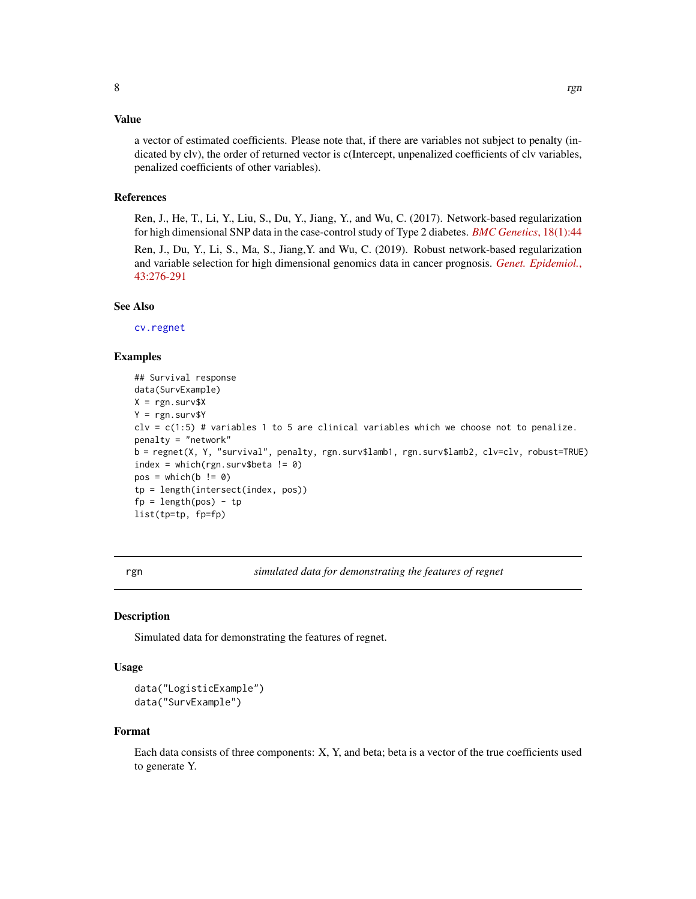#### <span id="page-7-0"></span>Value

a vector of estimated coefficients. Please note that, if there are variables not subject to penalty (indicated by clv), the order of returned vector is c(Intercept, unpenalized coefficients of clv variables, penalized coefficients of other variables).

#### References

Ren, J., He, T., Li, Y., Liu, S., Du, Y., Jiang, Y., and Wu, C. (2017). Network-based regularization for high dimensional SNP data in the case-control study of Type 2 diabetes. *[BMC Genetics](https://doi.org/10.1186/s12863-017-0495-5)*, 18(1):44 Ren, J., Du, Y., Li, S., Ma, S., Jiang,Y. and Wu, C. (2019). Robust network-based regularization and variable selection for high dimensional genomics data in cancer prognosis. *[Genet. Epidemiol.](https://doi.org/10.1002/gepi.22194)*, [43:276-291](https://doi.org/10.1002/gepi.22194)

#### See Also

[cv.regnet](#page-2-1)

#### Examples

```
## Survival response
data(SurvExample)
X = \text{rgn.surv$X}Y = \text{rgn.surv$Y}clv = c(1:5) # variables 1 to 5 are clinical variables which we choose not to penalize.
penalty = "network"
b = regnet(X, Y, "survival", penalty, rgn.surv$lamb1, rgn.surv$lamb2, clv=clv, robust=TRUE)
index = which(rgn.surv$beta != 0)
pos = which(b != 0)tp = length(intersect(index, pos))
fp = length(pos) - tplist(tp=tp, fp=fp)
```
rgn *simulated data for demonstrating the features of regnet*

#### **Description**

Simulated data for demonstrating the features of regnet.

#### Usage

```
data("LogisticExample")
data("SurvExample")
```
#### Format

Each data consists of three components: X, Y, and beta; beta is a vector of the true coefficients used to generate Y.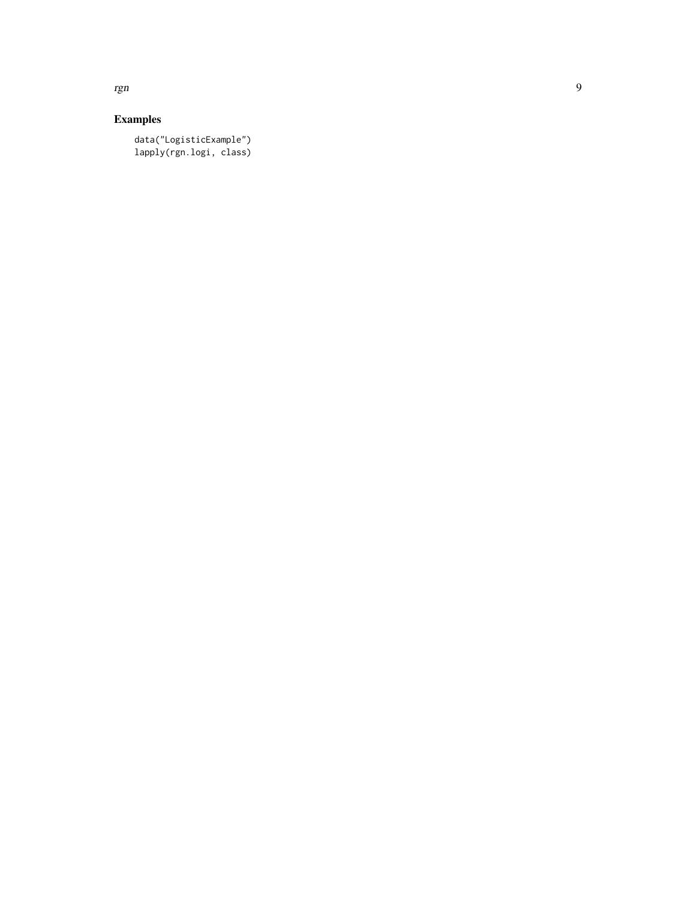Examples

data("LogisticExample") lapply(rgn.logi, class)